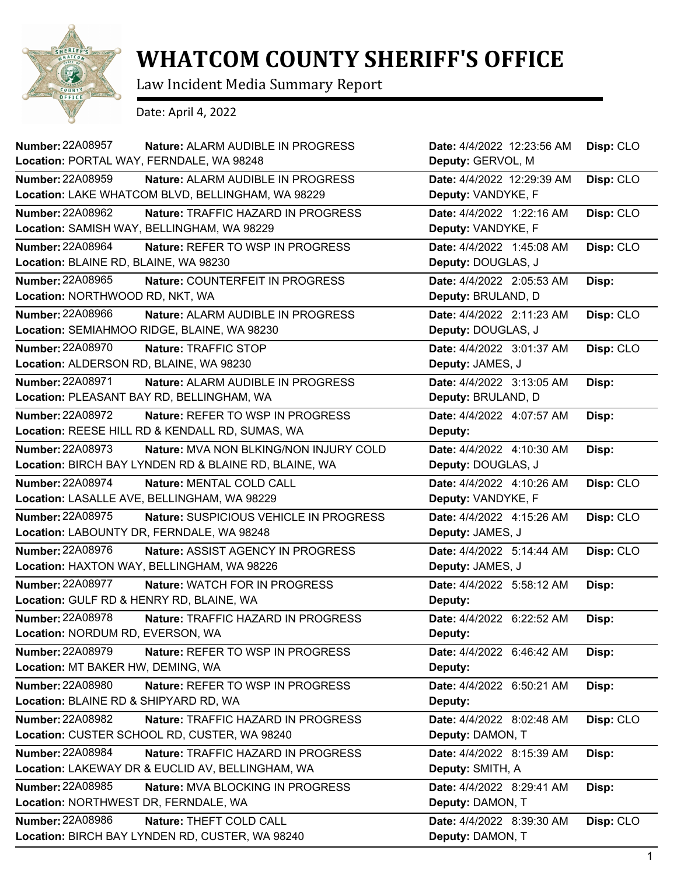

## **WHATCOM COUNTY SHERIFF'S OFFICE**

Law Incident Media Summary Report

Date: April 4, 2022

| <b>Number: 22A08957</b><br>Nature: ALARM AUDIBLE IN PROGRESS<br>Location: PORTAL WAY, FERNDALE, WA 98248                          | Date: 4/4/2022 12:23:56 AM<br>Deputy: GERVOL, M  | Disp: CLO |
|-----------------------------------------------------------------------------------------------------------------------------------|--------------------------------------------------|-----------|
|                                                                                                                                   |                                                  |           |
| <b>Number: 22A08959</b><br>Nature: ALARM AUDIBLE IN PROGRESS<br>Location: LAKE WHATCOM BLVD, BELLINGHAM, WA 98229                 | Date: 4/4/2022 12:29:39 AM<br>Deputy: VANDYKE, F | Disp: CLO |
| <b>Number: 22A08962</b><br>Nature: TRAFFIC HAZARD IN PROGRESS<br>Location: SAMISH WAY, BELLINGHAM, WA 98229                       | Date: 4/4/2022 1:22:16 AM<br>Deputy: VANDYKE, F  | Disp: CLO |
| <b>Number: 22A08964</b><br>Nature: REFER TO WSP IN PROGRESS                                                                       | Date: 4/4/2022 1:45:08 AM                        | Disp: CLO |
| Location: BLAINE RD, BLAINE, WA 98230                                                                                             | Deputy: DOUGLAS, J                               |           |
| <b>Number: 22A08965</b><br>Nature: COUNTERFEIT IN PROGRESS                                                                        | Date: 4/4/2022 2:05:53 AM                        | Disp:     |
| Location: NORTHWOOD RD, NKT, WA                                                                                                   | Deputy: BRULAND, D                               |           |
| Number: 22A08966<br>Nature: ALARM AUDIBLE IN PROGRESS                                                                             | Date: 4/4/2022 2:11:23 AM                        | Disp: CLO |
| Location: SEMIAHMOO RIDGE, BLAINE, WA 98230                                                                                       | Deputy: DOUGLAS, J                               |           |
| <b>Number: 22A08970</b><br>Nature: TRAFFIC STOP<br>Location: ALDERSON RD, BLAINE, WA 98230                                        | Date: 4/4/2022 3:01:37 AM<br>Deputy: JAMES, J    | Disp: CLO |
| Number: 22A08971<br>Nature: ALARM AUDIBLE IN PROGRESS                                                                             |                                                  |           |
| Location: PLEASANT BAY RD, BELLINGHAM, WA                                                                                         | Date: 4/4/2022 3:13:05 AM<br>Deputy: BRULAND, D  | Disp:     |
| <b>Number: 22A08972</b><br>Nature: REFER TO WSP IN PROGRESS                                                                       | Date: 4/4/2022 4:07:57 AM                        | Disp:     |
| Location: REESE HILL RD & KENDALL RD, SUMAS, WA                                                                                   | Deputy:                                          |           |
| <b>Number: 22A08973</b><br><b>Nature: MVA NON BLKING/NON INJURY COLD</b><br>Location: BIRCH BAY LYNDEN RD & BLAINE RD, BLAINE, WA | Date: 4/4/2022 4:10:30 AM<br>Deputy: DOUGLAS, J  | Disp:     |
| <b>Number: 22A08974</b><br>Nature: MENTAL COLD CALL                                                                               | Date: 4/4/2022 4:10:26 AM                        | Disp: CLO |
| Location: LASALLE AVE, BELLINGHAM, WA 98229                                                                                       | Deputy: VANDYKE, F                               |           |
| <b>Number: 22A08975</b><br>Nature: SUSPICIOUS VEHICLE IN PROGRESS                                                                 | Date: 4/4/2022 4:15:26 AM                        | Disp: CLO |
| Location: LABOUNTY DR, FERNDALE, WA 98248                                                                                         | Deputy: JAMES, J                                 |           |
| Number: 22A08976<br>Nature: ASSIST AGENCY IN PROGRESS                                                                             | Date: 4/4/2022 5:14:44 AM                        | Disp: CLO |
| Location: HAXTON WAY, BELLINGHAM, WA 98226                                                                                        | Deputy: JAMES, J                                 |           |
| <b>Number: 22A08977</b><br><b>Nature: WATCH FOR IN PROGRESS</b><br>Location: GULF RD & HENRY RD, BLAINE, WA                       | Date: 4/4/2022 5:58:12 AM<br>Deputy:             | Disp:     |
| Number: 22A08978<br>Nature: TRAFFIC HAZARD IN PROGRESS                                                                            | Date: 4/4/2022 6:22:52 AM                        | Disp:     |
| Location: NORDUM RD, EVERSON, WA                                                                                                  | Deputy:                                          |           |
| <b>Number: 22A08979</b><br>Nature: REFER TO WSP IN PROGRESS                                                                       | Date: 4/4/2022 6:46:42 AM                        | Disp:     |
| Location: MT BAKER HW, DEMING, WA                                                                                                 | Deputy:                                          |           |
| <b>Number: 22A08980</b><br>Nature: REFER TO WSP IN PROGRESS                                                                       | Date: 4/4/2022 6:50:21 AM                        | Disp:     |
| Location: BLAINE RD & SHIPYARD RD, WA                                                                                             | Deputy:                                          |           |
| Number: 22A08982<br>Nature: TRAFFIC HAZARD IN PROGRESS                                                                            | Date: 4/4/2022 8:02:48 AM                        | Disp: CLO |
| Location: CUSTER SCHOOL RD, CUSTER, WA 98240                                                                                      | Deputy: DAMON, T                                 |           |
| <b>Number: 22A08984</b><br>Nature: TRAFFIC HAZARD IN PROGRESS                                                                     | Date: 4/4/2022 8:15:39 AM                        | Disp:     |
| Location: LAKEWAY DR & EUCLID AV, BELLINGHAM, WA                                                                                  | Deputy: SMITH, A                                 |           |
| Number: 22A08985<br>Nature: MVA BLOCKING IN PROGRESS                                                                              | Date: 4/4/2022 8:29:41 AM                        | Disp:     |
| Location: NORTHWEST DR, FERNDALE, WA                                                                                              | Deputy: DAMON, T                                 |           |
| <b>Number: 22A08986</b><br>Nature: THEFT COLD CALL                                                                                | Date: 4/4/2022 8:39:30 AM                        | Disp: CLO |
| Location: BIRCH BAY LYNDEN RD, CUSTER, WA 98240                                                                                   | Deputy: DAMON, T                                 |           |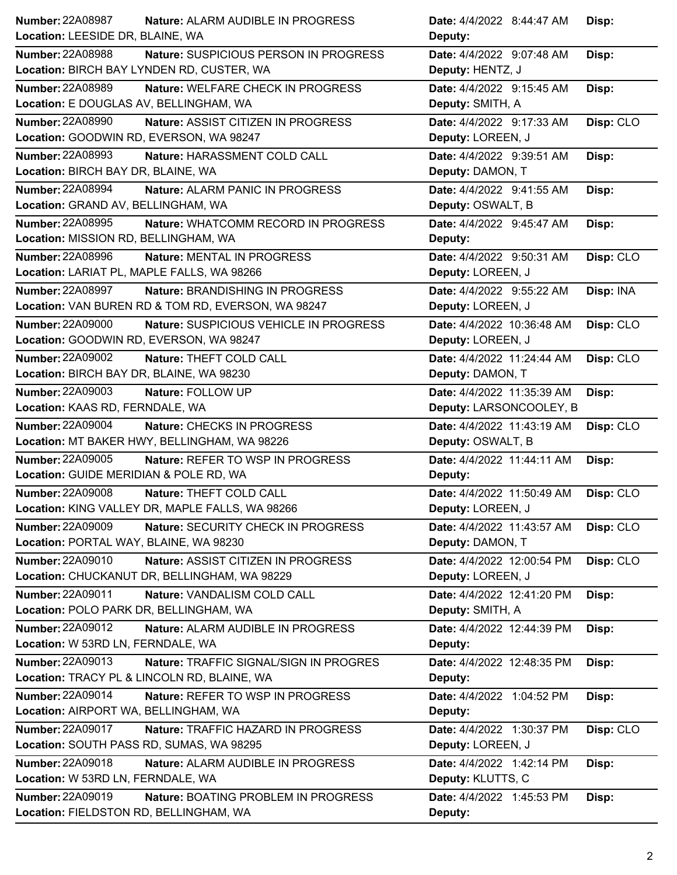| Number: 22A08987<br>Nature: ALARM AUDIBLE IN PROGRESS             | Date: 4/4/2022 8:44:47 AM<br>Disp:      |
|-------------------------------------------------------------------|-----------------------------------------|
| Location: LEESIDE DR, BLAINE, WA                                  | Deputy:                                 |
| <b>Number: 22A08988</b><br>Nature: SUSPICIOUS PERSON IN PROGRESS  | Date: 4/4/2022 9:07:48 AM<br>Disp:      |
| Location: BIRCH BAY LYNDEN RD, CUSTER, WA                         | Deputy: HENTZ, J                        |
| <b>Number: 22A08989</b><br>Nature: WELFARE CHECK IN PROGRESS      | Date: 4/4/2022 9:15:45 AM<br>Disp:      |
| Location: E DOUGLAS AV, BELLINGHAM, WA                            | Deputy: SMITH, A                        |
| <b>Number: 22A08990</b><br>Nature: ASSIST CITIZEN IN PROGRESS     | Date: 4/4/2022 9:17:33 AM<br>Disp: CLO  |
| Location: GOODWIN RD, EVERSON, WA 98247                           | Deputy: LOREEN, J                       |
| <b>Number: 22A08993</b><br>Nature: HARASSMENT COLD CALL           | Date: 4/4/2022 9:39:51 AM<br>Disp:      |
| Location: BIRCH BAY DR, BLAINE, WA                                | Deputy: DAMON, T                        |
| <b>Number: 22A08994</b><br>Nature: ALARM PANIC IN PROGRESS        | Date: 4/4/2022 9:41:55 AM<br>Disp:      |
| Location: GRAND AV, BELLINGHAM, WA                                | Deputy: OSWALT, B                       |
| <b>Number: 22A08995</b><br>Nature: WHATCOMM RECORD IN PROGRESS    | Date: 4/4/2022 9:45:47 AM<br>Disp:      |
| Location: MISSION RD, BELLINGHAM, WA                              | Deputy:                                 |
| <b>Number: 22A08996</b><br>Nature: MENTAL IN PROGRESS             | Date: 4/4/2022 9:50:31 AM<br>Disp: CLO  |
| Location: LARIAT PL, MAPLE FALLS, WA 98266                        | Deputy: LOREEN, J                       |
| <b>Number: 22A08997</b><br>Nature: BRANDISHING IN PROGRESS        | Disp: INA<br>Date: 4/4/2022 9:55:22 AM  |
| Location: VAN BUREN RD & TOM RD, EVERSON, WA 98247                | Deputy: LOREEN, J                       |
| <b>Number: 22A09000</b><br>Nature: SUSPICIOUS VEHICLE IN PROGRESS | Date: 4/4/2022 10:36:48 AM<br>Disp: CLO |
| Location: GOODWIN RD, EVERSON, WA 98247                           | Deputy: LOREEN, J                       |
| <b>Number: 22A09002</b><br>Nature: THEFT COLD CALL                | Date: 4/4/2022 11:24:44 AM<br>Disp: CLO |
| Location: BIRCH BAY DR, BLAINE, WA 98230                          | Deputy: DAMON, T                        |
| Number: 22A09003<br>Nature: FOLLOW UP                             | Date: 4/4/2022 11:35:39 AM<br>Disp:     |
| Location: KAAS RD, FERNDALE, WA                                   | Deputy: LARSONCOOLEY, B                 |
| <b>Number: 22A09004</b><br>Nature: CHECKS IN PROGRESS             | Date: 4/4/2022 11:43:19 AM<br>Disp: CLO |
| Location: MT BAKER HWY, BELLINGHAM, WA 98226                      | Deputy: OSWALT, B                       |
| <b>Number: 22A09005</b><br>Nature: REFER TO WSP IN PROGRESS       | Date: 4/4/2022 11:44:11 AM<br>Disp:     |
| Location: GUIDE MERIDIAN & POLE RD, WA                            | Deputy:                                 |
| <b>Number: 22A09008</b><br>Nature: THEFT COLD CALL                | Date: 4/4/2022 11:50:49 AM<br>Disp: CLO |
| Location: KING VALLEY DR, MAPLE FALLS, WA 98266                   | Deputy: LOREEN, J                       |
| <b>Number: 22A09009</b><br>Nature: SECURITY CHECK IN PROGRESS     | Date: 4/4/2022 11:43:57 AM<br>Disp: CLO |
| Location: PORTAL WAY, BLAINE, WA 98230                            | Deputy: DAMON, T                        |
| Number: 22A09010<br>Nature: ASSIST CITIZEN IN PROGRESS            | Date: 4/4/2022 12:00:54 PM<br>Disp: CLO |
| Location: CHUCKANUT DR, BELLINGHAM, WA 98229                      | Deputy: LOREEN, J                       |
| Number: 22A09011<br>Nature: VANDALISM COLD CALL                   | Date: 4/4/2022 12:41:20 PM<br>Disp:     |
| Location: POLO PARK DR, BELLINGHAM, WA                            | Deputy: SMITH, A                        |
| Number: 22A09012<br>Nature: ALARM AUDIBLE IN PROGRESS             | Date: 4/4/2022 12:44:39 PM<br>Disp:     |
| Location: W 53RD LN, FERNDALE, WA                                 | Deputy:                                 |
| Number: 22A09013<br>Nature: TRAFFIC SIGNAL/SIGN IN PROGRES        | Date: 4/4/2022 12:48:35 PM<br>Disp:     |
| Location: TRACY PL & LINCOLN RD, BLAINE, WA                       | Deputy:                                 |
| Number: 22A09014<br>Nature: REFER TO WSP IN PROGRESS              | Date: 4/4/2022 1:04:52 PM<br>Disp:      |
| Location: AIRPORT WA, BELLINGHAM, WA                              | Deputy:                                 |
| Number: 22A09017<br>Nature: TRAFFIC HAZARD IN PROGRESS            | Disp: CLO<br>Date: 4/4/2022 1:30:37 PM  |
| Location: SOUTH PASS RD, SUMAS, WA 98295                          | Deputy: LOREEN, J                       |
| <b>Number: 22A09018</b><br>Nature: ALARM AUDIBLE IN PROGRESS      | Date: 4/4/2022 1:42:14 PM<br>Disp:      |
| Location: W 53RD LN, FERNDALE, WA                                 | Deputy: KLUTTS, C                       |
| Number: 22A09019<br>Nature: BOATING PROBLEM IN PROGRESS           | Date: 4/4/2022 1:45:53 PM<br>Disp:      |
| Location: FIELDSTON RD, BELLINGHAM, WA                            | Deputy:                                 |
|                                                                   |                                         |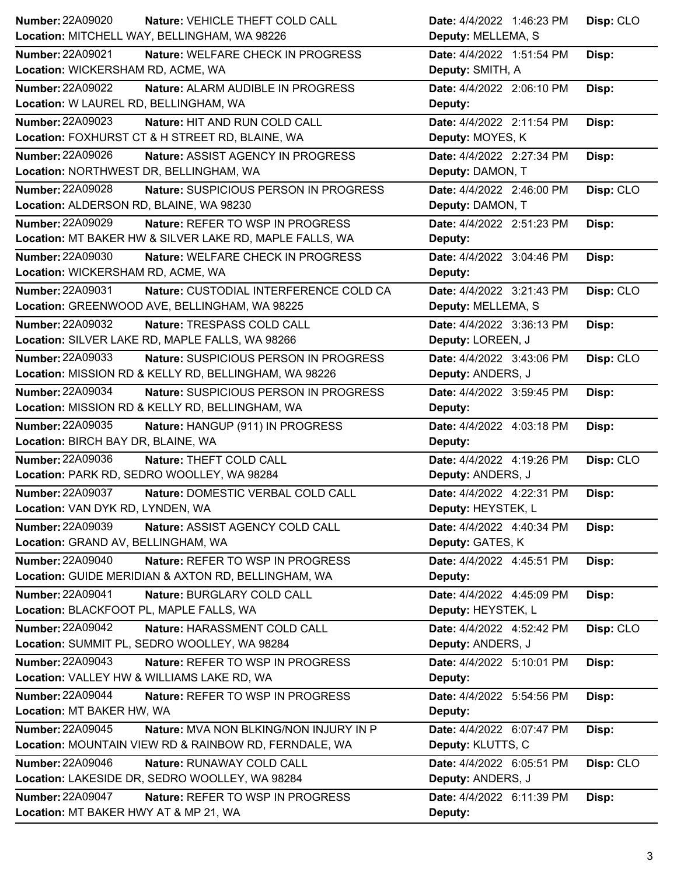| <b>Number: 22A09020</b><br>Nature: VEHICLE THEFT COLD CALL       | Date: 4/4/2022 1:46:23 PM<br>Disp: CLO |
|------------------------------------------------------------------|----------------------------------------|
| Location: MITCHELL WAY, BELLINGHAM, WA 98226                     | Deputy: MELLEMA, S                     |
| <b>Number: 22A09021</b><br>Nature: WELFARE CHECK IN PROGRESS     | Date: 4/4/2022 1:51:54 PM<br>Disp:     |
| Location: WICKERSHAM RD, ACME, WA                                | Deputy: SMITH, A                       |
| Number: 22A09022<br>Nature: ALARM AUDIBLE IN PROGRESS            | Date: 4/4/2022 2:06:10 PM<br>Disp:     |
| Location: W LAUREL RD, BELLINGHAM, WA                            | Deputy:                                |
| <b>Number: 22A09023</b><br>Nature: HIT AND RUN COLD CALL         | Date: 4/4/2022 2:11:54 PM<br>Disp:     |
| Location: FOXHURST CT & H STREET RD, BLAINE, WA                  | Deputy: MOYES, K                       |
| <b>Number: 22A09026</b><br>Nature: ASSIST AGENCY IN PROGRESS     | Date: 4/4/2022 2:27:34 PM<br>Disp:     |
| Location: NORTHWEST DR, BELLINGHAM, WA                           | Deputy: DAMON, T                       |
| Number: 22A09028<br>Nature: SUSPICIOUS PERSON IN PROGRESS        | Date: 4/4/2022 2:46:00 PM<br>Disp: CLO |
| Location: ALDERSON RD, BLAINE, WA 98230                          | Deputy: DAMON, T                       |
| Number: 22A09029<br>Nature: REFER TO WSP IN PROGRESS             | Date: 4/4/2022 2:51:23 PM<br>Disp:     |
| Location: MT BAKER HW & SILVER LAKE RD, MAPLE FALLS, WA          | Deputy:                                |
| Number: 22A09030<br>Nature: WELFARE CHECK IN PROGRESS            | Date: 4/4/2022 3:04:46 PM<br>Disp:     |
| Location: WICKERSHAM RD, ACME, WA                                | Deputy:                                |
| Number: 22A09031<br>Nature: CUSTODIAL INTERFERENCE COLD CA       | Disp: CLO<br>Date: 4/4/2022 3:21:43 PM |
| Location: GREENWOOD AVE, BELLINGHAM, WA 98225                    | Deputy: MELLEMA, S                     |
| Number: 22A09032<br>Nature: TRESPASS COLD CALL                   | Date: 4/4/2022 3:36:13 PM<br>Disp:     |
| Location: SILVER LAKE RD, MAPLE FALLS, WA 98266                  | Deputy: LOREEN, J                      |
| <b>Number: 22A09033</b><br>Nature: SUSPICIOUS PERSON IN PROGRESS | Disp: CLO<br>Date: 4/4/2022 3:43:06 PM |
| Location: MISSION RD & KELLY RD, BELLINGHAM, WA 98226            | Deputy: ANDERS, J                      |
| <b>Number: 22A09034</b><br>Nature: SUSPICIOUS PERSON IN PROGRESS | Date: 4/4/2022 3:59:45 PM<br>Disp:     |
| Location: MISSION RD & KELLY RD, BELLINGHAM, WA                  | Deputy:                                |
| Number: 22A09035                                                 | Date: 4/4/2022 4:03:18 PM<br>Disp:     |
| Nature: HANGUP (911) IN PROGRESS                                 |                                        |
| Location: BIRCH BAY DR, BLAINE, WA                               | Deputy:                                |
| <b>Number: 22A09036</b><br>Nature: THEFT COLD CALL               | Date: 4/4/2022 4:19:26 PM<br>Disp: CLO |
| Location: PARK RD, SEDRO WOOLLEY, WA 98284                       | Deputy: ANDERS, J                      |
| <b>Number: 22A09037</b><br>Nature: DOMESTIC VERBAL COLD CALL     | Date: 4/4/2022 4:22:31 PM<br>Disp:     |
| Location: VAN DYK RD, LYNDEN, WA                                 | Deputy: HEYSTEK, L                     |
| <b>Number: 22A09039</b><br>Nature: ASSIST AGENCY COLD CALL       | Date: 4/4/2022 4:40:34 PM<br>Disp:     |
| Location: GRAND AV, BELLINGHAM, WA                               | Deputy: GATES, K                       |
| Number: 22A09040<br>Nature: REFER TO WSP IN PROGRESS             | Date: 4/4/2022 4:45:51 PM<br>Disp:     |
| Location: GUIDE MERIDIAN & AXTON RD, BELLINGHAM, WA              | Deputy:                                |
| <b>Number: 22A09041</b><br>Nature: BURGLARY COLD CALL            | Date: 4/4/2022 4:45:09 PM<br>Disp:     |
| Location: BLACKFOOT PL, MAPLE FALLS, WA                          | Deputy: HEYSTEK, L                     |
| Number: 22A09042<br>Nature: HARASSMENT COLD CALL                 | Date: 4/4/2022 4:52:42 PM<br>Disp: CLO |
| Location: SUMMIT PL, SEDRO WOOLLEY, WA 98284                     | Deputy: ANDERS, J                      |
| Number: 22A09043<br>Nature: REFER TO WSP IN PROGRESS             | Date: 4/4/2022 5:10:01 PM<br>Disp:     |
| Location: VALLEY HW & WILLIAMS LAKE RD, WA                       | Deputy:                                |
| <b>Number: 22A09044</b><br>Nature: REFER TO WSP IN PROGRESS      | Disp:<br>Date: 4/4/2022 5:54:56 PM     |
| Location: MT BAKER HW, WA                                        | Deputy:                                |
| Number: 22A09045<br>Nature: MVA NON BLKING/NON INJURY IN P       | Date: 4/4/2022 6:07:47 PM<br>Disp:     |
| Location: MOUNTAIN VIEW RD & RAINBOW RD, FERNDALE, WA            | Deputy: KLUTTS, C                      |
| <b>Number: 22A09046</b><br><b>Nature: RUNAWAY COLD CALL</b>      | Disp: CLO<br>Date: 4/4/2022 6:05:51 PM |
| Location: LAKESIDE DR, SEDRO WOOLLEY, WA 98284                   | Deputy: ANDERS, J                      |
| <b>Number: 22A09047</b><br>Nature: REFER TO WSP IN PROGRESS      | Date: 4/4/2022 6:11:39 PM<br>Disp:     |